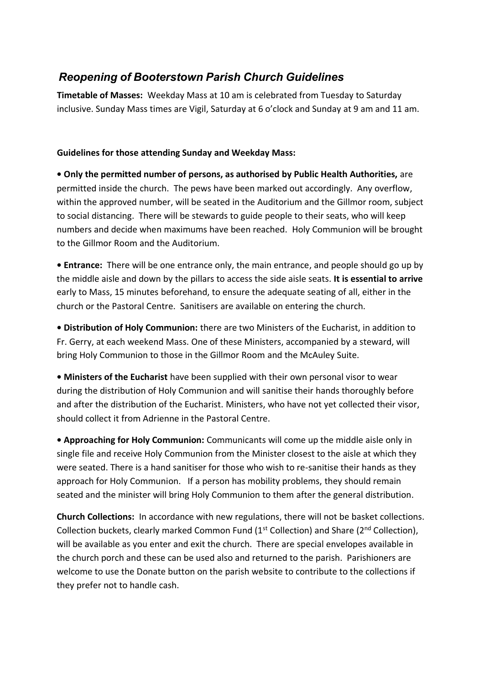## *Reopening of Booterstown Parish Church Guidelines*

**Timetable of Masses:** Weekday Mass at 10 am is celebrated from Tuesday to Saturday inclusive. Sunday Mass times are Vigil, Saturday at 6 o'clock and Sunday at 9 am and 11 am.

## **Guidelines for those attending Sunday and Weekday Mass:**

**• Only the permitted number of persons, as authorised by Public Health Authorities,** are permitted inside the church. The pews have been marked out accordingly. Any overflow, within the approved number, will be seated in the Auditorium and the Gillmor room, subject to social distancing. There will be stewards to guide people to their seats, who will keep numbers and decide when maximums have been reached. Holy Communion will be brought to the Gillmor Room and the Auditorium.

**• Entrance:** There will be one entrance only, the main entrance, and people should go up by the middle aisle and down by the pillars to access the side aisle seats. **It is essential to arrive** early to Mass, 15 minutes beforehand, to ensure the adequate seating of all, either in the church or the Pastoral Centre. Sanitisers are available on entering the church.

**• Distribution of Holy Communion:** there are two Ministers of the Eucharist, in addition to Fr. Gerry, at each weekend Mass. One of these Ministers, accompanied by a steward, will bring Holy Communion to those in the Gillmor Room and the McAuley Suite.

**• Ministers of the Eucharist** have been supplied with their own personal visor to wear during the distribution of Holy Communion and will sanitise their hands thoroughly before and after the distribution of the Eucharist. Ministers, who have not yet collected their visor, should collect it from Adrienne in the Pastoral Centre.

**• Approaching for Holy Communion:** Communicants will come up the middle aisle only in single file and receive Holy Communion from the Minister closest to the aisle at which they were seated. There is a hand sanitiser for those who wish to re-sanitise their hands as they approach for Holy Communion. If a person has mobility problems, they should remain seated and the minister will bring Holy Communion to them after the general distribution.

**Church Collections:** In accordance with new regulations, there will not be basket collections. Collection buckets, clearly marked Common Fund ( $1<sup>st</sup>$  Collection) and Share ( $2<sup>nd</sup>$  Collection), will be available as you enter and exit the church. There are special envelopes available in the church porch and these can be used also and returned to the parish. Parishioners are welcome to use the Donate button on the parish website to contribute to the collections if they prefer not to handle cash.